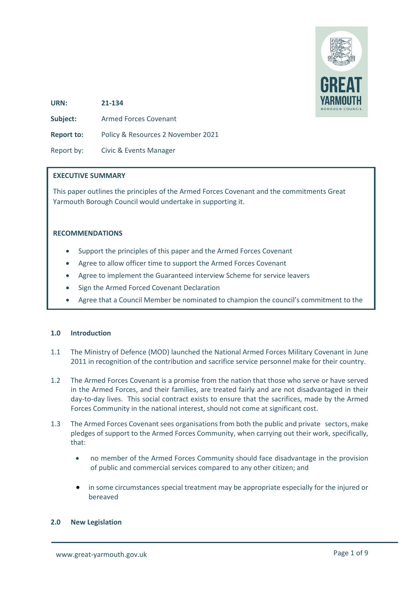

**URN: 21-134 Subject:** Armed Forces Covenant **Report to:** Policy & Resources 2 November 2021 Report by: Civic & Events Manager

#### **EXECUTIVE SUMMARY**

This paper outlines the principles of the Armed Forces Covenant and the commitments Great Yarmouth Borough Council would undertake in supporting it.

#### **RECOMMENDATIONS**

- Support the principles of this paper and the Armed Forces Covenant
- Agree to allow officer time to support the Armed Forces Covenant
- Agree to implement the Guaranteed interview Scheme for service leavers
- Sign the Armed Forced Covenant Declaration
- Agree that a Council Member be nominated to champion the council's commitment to the

## **1.0 Introduction**

Ï

- 1.1 The Ministry of Defence (MOD) launched the National Armed Forces Military Covenant in June 2011 in recognition of the contribution and sacrifice service personnel make for their country.
- 1.2 The Armed Forces Covenant is a promise from the nation that those who serve or have served in the Armed Forces, and their families, are treated fairly and are not disadvantaged in their day-to-day lives. This social contract exists to ensure that the sacrifices, made by the Armed Forces Community in the national interest, should not come at significant cost.
- 1.3 The Armed Forces Covenant sees organisations from both the public and private sectors, make pledges of support to the Armed Forces Community, when carrying out their work, specifically, that:
	- no member of the Armed Forces Community should face disadvantage in the provision of public and commercial services compared to any other citizen; and
	- in some circumstances special treatment may be appropriate especially for the injured or bereaved

#### **2.0 New Legislation**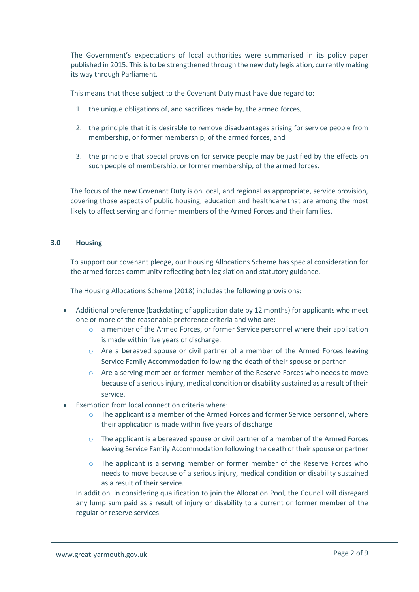The Government's expectations of local authorities were summarised in its policy paper published in 2015. This is to be strengthened through the new duty legislation, currently making its way through Parliament.

This means that those subject to the Covenant Duty must have due regard to:

- 1. the unique obligations of, and sacrifices made by, the armed forces,
- 2. the principle that it is desirable to remove disadvantages arising for service people from membership, or former membership, of the armed forces, and
- 3. the principle that special provision for service people may be justified by the effects on such people of membership, or former membership, of the armed forces.

The focus of the new Covenant Duty is on local, and regional as appropriate, service provision, covering those aspects of public housing, education and healthcare that are among the most likely to affect serving and former members of the Armed Forces and their families.

## **3.0 Housing**

To support our covenant pledge, our Housing Allocations Scheme has special consideration for the armed forces community reflecting both legislation and statutory guidance.

The Housing Allocations Scheme (2018) includes the following provisions:

- Additional preference (backdating of application date by 12 months) for applicants who meet one or more of the reasonable preference criteria and who are:
	- $\circ$  a member of the Armed Forces, or former Service personnel where their application is made within five years of discharge.
	- o Are a bereaved spouse or civil partner of a member of the Armed Forces leaving Service Family Accommodation following the death of their spouse or partner
	- o Are a serving member or former member of the Reserve Forces who needs to move because of a serious injury, medical condition or disability sustained as a result of their service.
- Exemption from local connection criteria where:
	- $\circ$  The applicant is a member of the Armed Forces and former Service personnel, where their application is made within five years of discharge
	- $\circ$  The applicant is a bereaved spouse or civil partner of a member of the Armed Forces leaving Service Family Accommodation following the death of their spouse or partner
	- $\circ$  The applicant is a serving member or former member of the Reserve Forces who needs to move because of a serious injury, medical condition or disability sustained as a result of their service.

In addition, in considering qualification to join the Allocation Pool, the Council will disregard any lump sum paid as a result of injury or disability to a current or former member of the regular or reserve services.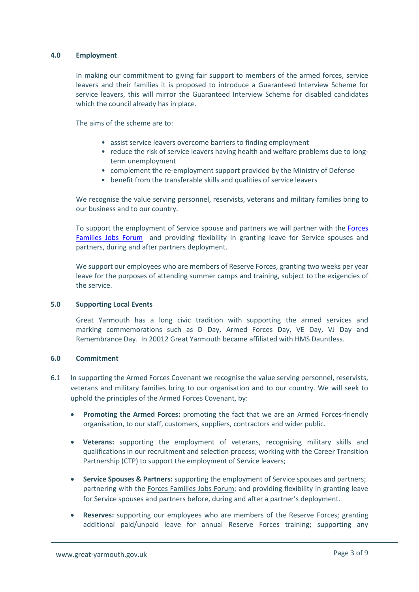#### **4.0 Employment**

In making our commitment to giving fair support to members of the armed forces, service leavers and their families it is proposed to introduce a Guaranteed Interview Scheme for service leavers, this will mirror the Guaranteed Interview Scheme for disabled candidates which the council already has in place.

The aims of the scheme are to:

- assist service leavers overcome barriers to finding employment
- reduce the risk of service leavers having health and welfare problems due to longterm unemployment
- complement the re-employment support provided by the Ministry of Defense
- benefit from the transferable skills and qualities of service leavers

We recognise the value serving personnel, reservists, veterans and military families bring to our business and to our country.

To support the employment of Service spouse and partners we will partner with the [Forces](https://www.forcesfamiliesjobs.co.uk/)  [Families Jobs Forum](https://www.forcesfamiliesjobs.co.uk/) and providing flexibility in granting leave for Service spouses and partners, during and after partners deployment.

We support our employees who are members of Reserve Forces, granting two weeks per year leave for the purposes of attending summer camps and training, subject to the exigencies of the service.

### **5.0 Supporting Local Events**

Great Yarmouth has a long civic tradition with supporting the armed services and marking commemorations such as D Day, Armed Forces Day, VE Day, VJ Day and Remembrance Day. In 20012 Great Yarmouth became affiliated with HMS Dauntless.

### **6.0 Commitment**

- 6.1 In supporting the Armed Forces Covenant we recognise the value serving personnel, reservists, veterans and military families bring to our organisation and to our country. We will seek to uphold the principles of the Armed Forces Covenant, by:
	- **Promoting the Armed Forces:** promoting the fact that we are an Armed Forces-friendly organisation, to our staff, customers, suppliers, contractors and wider public.
	- **Veterans:** supporting the employment of veterans, recognising military skills and qualifications in our recruitment and selection process; working with the Career Transition Partnership (CTP) to support the employment of Service leavers;
	- **Service Spouses & Partners:** supporting the employment of Service spouses and partners; partnering with the [Forces Families Jobs Forum;](https://www.forcesfamiliesjobs.co.uk/) and providing flexibility in granting leave for Service spouses and partners before, during and after a partner's deployment.
	- **Reserves:** supporting our employees who are members of the Reserve Forces; granting additional paid/unpaid leave for annual Reserve Forces training; supporting any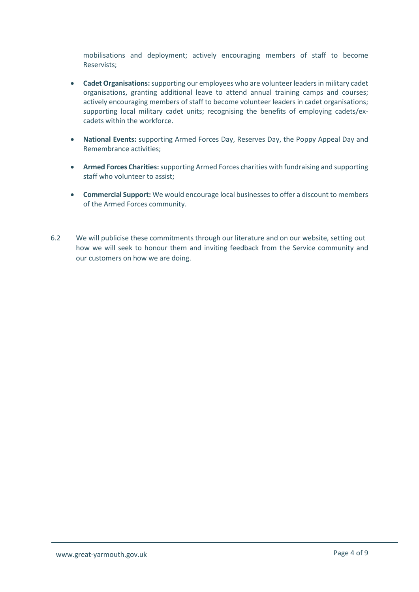mobilisations and deployment; actively encouraging members of staff to become Reservists;

- **Cadet Organisations:** supporting our employees who are volunteer leaders in military cadet organisations, granting additional leave to attend annual training camps and courses; actively encouraging members of staff to become volunteer leaders in cadet organisations; supporting local military cadet units; recognising the benefits of employing cadets/excadets within the workforce.
- **National Events:** supporting Armed Forces Day, Reserves Day, the Poppy Appeal Day and Remembrance activities;
- **Armed Forces Charities:**supporting Armed Forces charities with fundraising and supporting staff who volunteer to assist;
- **Commercial Support:** We would encourage local businesses to offer a discount to members of the Armed Forces community.
- 6.2 We will publicise these commitments through our literature and on our website, setting out how we will seek to honour them and inviting feedback from the Service community and our customers on how we are doing.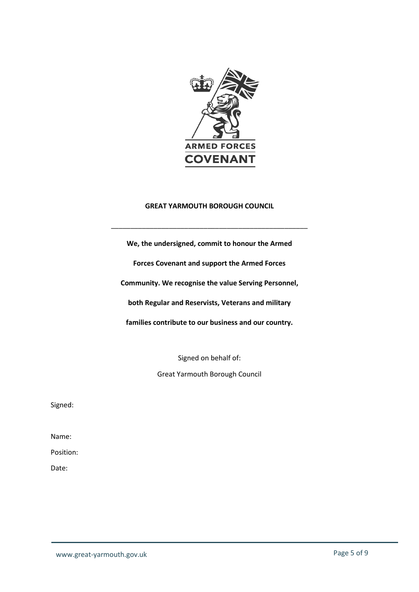

# **GREAT YARMOUTH BOROUGH COUNCIL**

\_\_\_\_\_\_\_\_\_\_\_\_\_\_\_\_\_\_\_\_\_\_\_\_\_\_\_\_\_\_\_\_\_\_\_\_\_\_\_\_\_\_\_\_\_\_\_\_\_\_\_

**We, the undersigned, commit to honour the Armed Forces Covenant and support the Armed Forces Community. We recognise the value Serving Personnel, both Regular and Reservists, Veterans and military families contribute to our business and our country.**

Signed on behalf of:

Great Yarmouth Borough Council

Signed:

Name:

Position:

Date: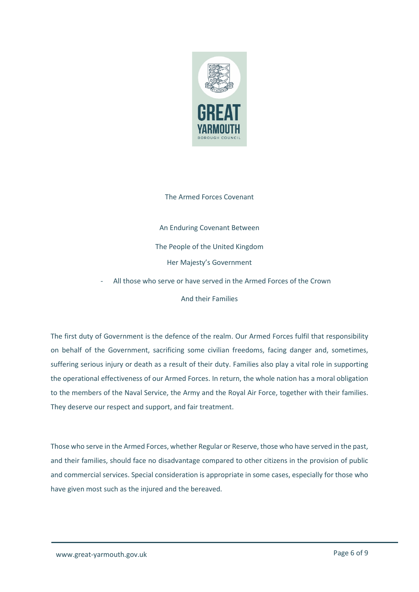

#### The Armed Forces Covenant

An Enduring Covenant Between The People of the United Kingdom Her Majesty's Government

All those who serve or have served in the Armed Forces of the Crown

And their Families

The first duty of Government is the defence of the realm. Our Armed Forces fulfil that responsibility on behalf of the Government, sacrificing some civilian freedoms, facing danger and, sometimes, suffering serious injury or death as a result of their duty. Families also play a vital role in supporting the operational effectiveness of our Armed Forces. In return, the whole nation has a moral obligation to the members of the Naval Service, the Army and the Royal Air Force, together with their families. They deserve our respect and support, and fair treatment.

Those who serve in the Armed Forces, whether Regular or Reserve, those who have served in the past, and their families, should face no disadvantage compared to other citizens in the provision of public and commercial services. Special consideration is appropriate in some cases, especially for those who have given most such as the injured and the bereaved.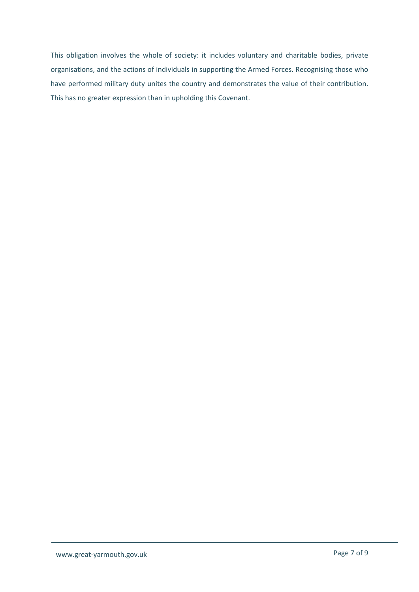This obligation involves the whole of society: it includes voluntary and charitable bodies, private organisations, and the actions of individuals in supporting the Armed Forces. Recognising those who have performed military duty unites the country and demonstrates the value of their contribution. This has no greater expression than in upholding this Covenant.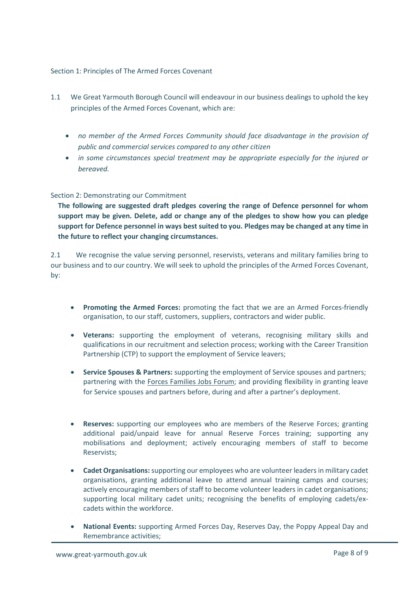## Section 1: Principles of The Armed Forces Covenant

- 1.1 We Great Yarmouth Borough Council will endeavour in our business dealings to uphold the key principles of the Armed Forces Covenant, which are:
	- *no member of the Armed Forces Community should face disadvantage in the provision of public and commercial services compared to any other citizen*
	- *in some circumstances special treatment may be appropriate especially for the injured or bereaved.*

## Section 2: Demonstrating our Commitment

**The following are suggested draft pledges covering the range of Defence personnel for whom support may be given. Delete, add or change any of the pledges to show how you can pledge support for Defence personnel in ways best suited to you. Pledges may be changed at any time in the future to reflect your changing circumstances.**

2.1 We recognise the value serving personnel, reservists, veterans and military families bring to our business and to our country. We will seek to uphold the principles of the Armed Forces Covenant, by:

- **Promoting the Armed Forces:** promoting the fact that we are an Armed Forces-friendly organisation, to our staff, customers, suppliers, contractors and wider public.
- **Veterans:** supporting the employment of veterans, recognising military skills and qualifications in our recruitment and selection process; working with the Career Transition Partnership (CTP) to support the employment of Service leavers;
- **Service Spouses & Partners:** supporting the employment of Service spouses and partners; partnering with the [Forces Families Jobs Forum;](https://www.forcesfamiliesjobs.co.uk/) and providing flexibility in granting leave for Service spouses and partners before, during and after a partner's deployment.
- **Reserves:** supporting our employees who are members of the Reserve Forces; granting additional paid/unpaid leave for annual Reserve Forces training; supporting any mobilisations and deployment; actively encouraging members of staff to become Reservists;
- **Cadet Organisations:** supporting our employees who are volunteer leaders in military cadet organisations, granting additional leave to attend annual training camps and courses; actively encouraging members of staff to become volunteer leaders in cadet organisations; supporting local military cadet units; recognising the benefits of employing cadets/excadets within the workforce.
- **National Events:** supporting Armed Forces Day, Reserves Day, the Poppy Appeal Day and Remembrance activities;